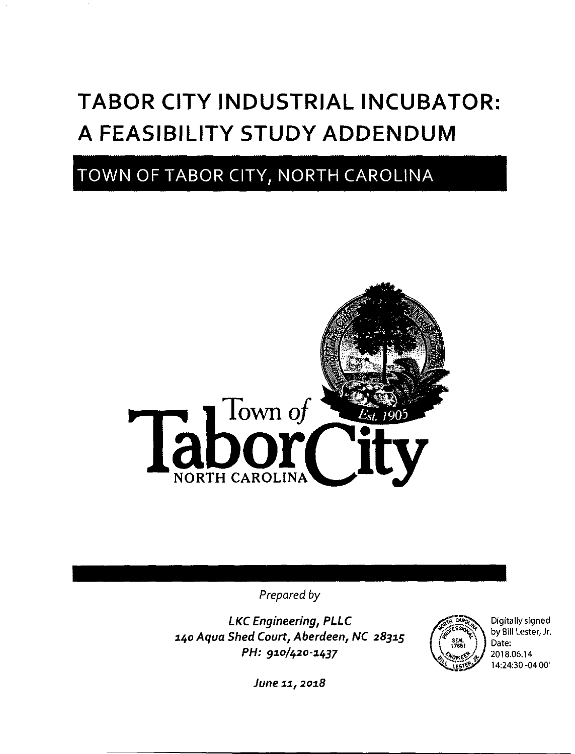# TABOR CITY INDUSTRIAL INCUBATOR: A FEASIBILITY STUDY ADDENDUM

## TOWN OF TABOR CITY, NORTH CAROLINA



Prepared by

LKC Engineering, PLLC i4o Aqua Shed Court, Aberdeen, NC 28315 PH: 910/420-1437



Digitally signed by Bill Lester, Jr. Date: 2018.06.14 1424:30 -04'00'

June 11, 2018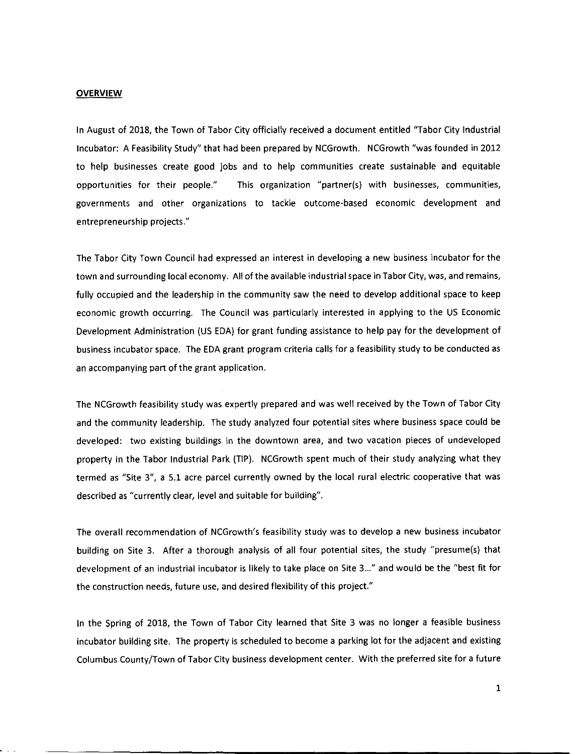#### **OVERVIEW**

In August of 2018, the Town of Tabor City officially received a document entitled "Tabor City Industrial Incubator: A Feasibility Study' that had been prepared by NCGrowth. NCGrowth "was founded in 2012 to help businesses create good jobs and to help communities create sustainable and equitable opportunities for their people" This organization "partner(s) with businesses, communities, governments and other organizations to tackle outcome-based economic development and entrepreneurship projects."

The Tabor City Town Council had expressed an interest in developing a new business incubator for the town and surrounding local economy. All of the available industrial space in Tabor City, was, and remains, fully occupied and the leadership in the community saw the need to develop additional space to keep economic growth occurring. The Council was particularly interested in applying to the US Economic Development Administration (US EDA) for grant funding assistance to help pay for the development of business incubator space. The EDA grant program criteria calls for a feasibility study to be conducted as an accompanying part of the grant application.

The NCGrowth feasibility study was expertly prepared and was well received by the Town of Tabor City and the community leadership. The study analyzed four potential sites where business space could be developed: two existing buildings in the downtown area, and two vacation pieces of undeveloped property in the Tabor Industrial Park (TIP). NCGrowth spent much of their study analyzing what they termed as "Site 3", a 5.1 acre parcel currently owned by the local rural electric cooperative that was described as "currently clear, level and suitable for building'.

The overall recommendation of NCGrowth's feasibility study was to develop a new business incubator building on Site 3. After a thorough analysis of all four potential sites, the study "presume(s) that development of an industrial incubator is likely to take place on Site 3..." and would be the "best fit for the construction needs, future use, and desired flexibility of this project."

In the Spring of 2018, the Town of Tabor City learned that Site 3 was no longer a feasible business incubator building site. The property is scheduled to become a parking lot for the adjacent and existing Columbus County/Town of Tabor City business development center. With the preferred site for a future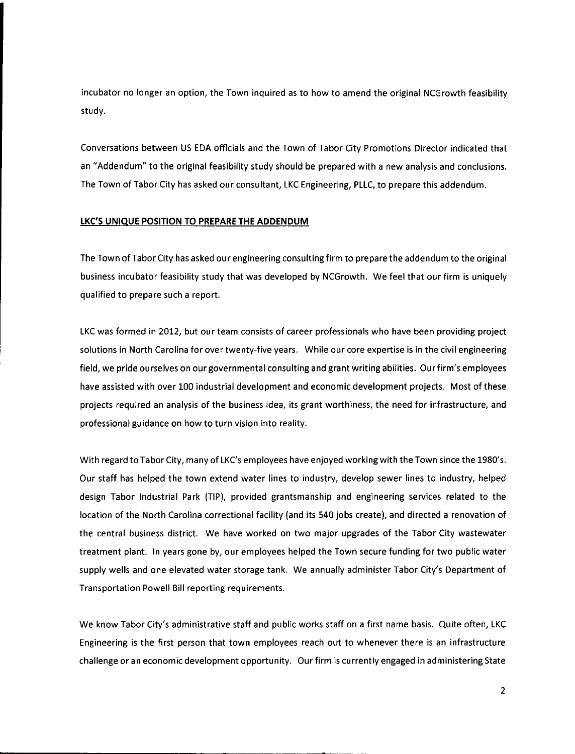incubator no longer an option, the Town inquired as to how to amend the original NCGrowth feasibility study.

Conversations between US EDA officials and the Town of Tabor City Promotions Director indicated that an "Addendum" to the original feasibility study should be prepared with a new analysis and conclusions. The Town of Tabor City has asked our consultant, LKC Engineering, PLLC, to prepare this addendum.

#### LKC'S UNIQUE POSITION TO PREPARE THE ADDENDUM

The Town of Tabor City has asked our engineering consulting firm to prepare the addendum to the original business incubator feasibility study that was developed by NCGrowth. We feel that our firm is uniquely qualified to prepare such a report.

LKC was formed in 2012, but our team consists of career professionals who have been providing project solutions in North Carolina for over twenty-five years. While our core expertise is in the civil engineering field, we pride ourselves on our governmental consulting and grant writing abilities. Our firm's employees have assisted with over 100 industrial development and economic development projects. Most of these projects required an analysis of the business idea, its grant worthiness, the need for infrastructure, and professional guidance on how to turn vision into reality.

With regard to Tabor City, many of LKC's employees have enjoyed working with the Town since the 1980's. Our staff has helped the town extend water lines to industry, develop sewer lines to industry, helped design Tabor Industrial Park (TIP), provided grantsmanship and engineering services related to the location of the North Carolina correctional facility (and its 540 jobs create), and directed a renovation of the central business district. We have worked on two major upgrades of the Tabor City wastewater treatment plant. In years gone by, our employees helped the Town secure funding for two public water supply wells and one elevated water storage tank. We annually administer Tabor City's Department of Transportation Powell Bill reporting requirements.

We know Tabor City's administrative staff and public works staff on a first name basis. Quite often, LKC Engineering is the first person that town employees reach out to whenever there is an infrastructure challenge or an economic development opportunity. Our firm is currently engaged in administering State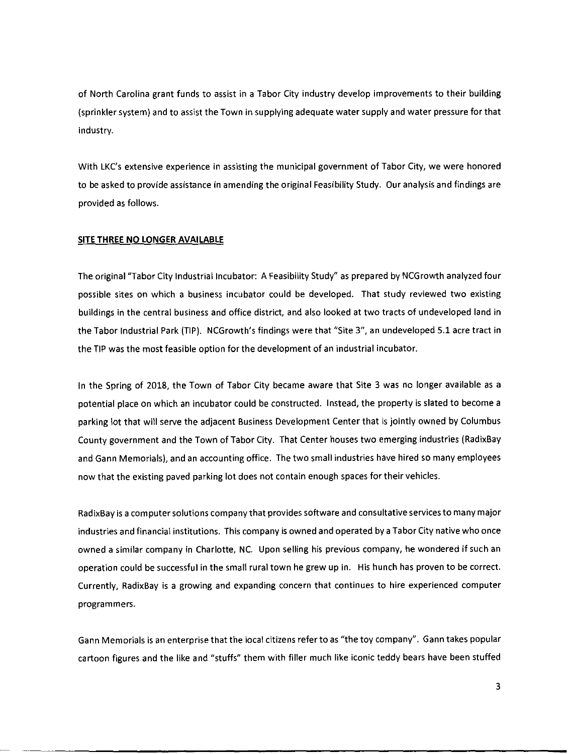of North Carolina grant funds to assist in a Tabor City industry develop improvements to their building (sprinkler system) and to assist the Town in supplying adequate water supply and water pressure for that industry.

With LKC's extensive experience in assisting the municipal government of Tabor City, we were honored to be asked to provide assistance in amending the original Feasibility Study. Our analysis and findings are provided as follows.

#### SITE THREE NO LONGER AVAILABLE

The original "Tabor City Industrial Incubator: A Feasibility Study' as prepared by NCGrowth analyzed four possible sites on which a business incubator could be developed. That study reviewed two existing buildings in the central business and office district, and also looked at two tracts of undeveloped land in the Tabor Industrial Park (TIP). NCGrowth's findings were that "Site 3", an undeveloped 5.1 acre tract in the TIP was the most feasible option for the development of an industrial incubator.

In the Spring of 2018, the Town of Tabor City became aware that Site 3 was no longer available as a potential place on which an incubator could be constructed. Instead, the property is slated to become a parking lot that will serve the adjacent Business Development Center that is jointly owned by Columbus County government and the Town of Tabor City. That Center houses two emerging industries (RadixBay and Gann Memorials), and an accounting office. The two small industries have hired so many employees now that the existing paved parking lot does not contain enough spaces for their vehicles.

RadixBay is a computer solutions company that provides software and consultative services to many major industries and financial institutions. This company is owned and operated by a Tabor City native who once owned a similar company in Charlotte, NC. Upon selling his previous company, he wondered if such an operation could be successful in the small rural town he grew up in. His hunch has proven to be correct. Currently, RadixBay is a growing and expanding concern that continues to hire experienced computer programmers.

Gann Memorials is an enterprise that the local citizens referto as "the toy company'. Gann takes popular cartoon figures and the like and "stuffs" them with filler much like iconic teddy bears have been stuffed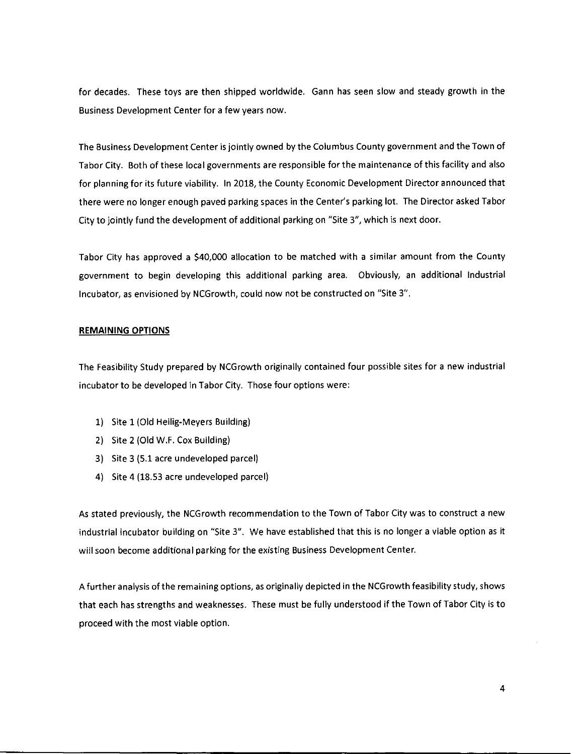for decades. These toys are then shipped worldwide. Gann has seen slow and steady growth in the Business Development Center for a few years now.

The Business Development Center is jointly owned by the Columbus County government and the Town of Tabor City. Both of these local governments are responsible for the maintenance of this facility and also for planning for its future viability. In 2018, the County Economic Development Director announced that there were no longer enough paved parking spaces in the Center's parking lot. The Director asked Tabor City to jointly fund the development of additional parking on "Site 3", which is next door.

Tabor City has approved a \$40,000 allocation to be matched with a similar amount from the County government to begin developing this additional parking area. Obviously, an additional Industrial Incubator, as envisioned by NCGrowth, could now not be constructed on "Site 3".

#### REMAINING OPTIONS

The Feasibility Study prepared by NCGrowth originally contained four possible sites for a new industrial incubator to be developed in Tabor City. Those four options were:

- 1) Site 1(Old Heilig-Meyers Building)
- 2) Site 2 (Old W.F. Cox Building)
- 3) Site 3 (5.1 acre undeveloped parcel)
- 4) Site 4 (18.53 acre undeveloped parcel)

As stated previously, the NCGrowth recommendation to the Town of Tabor City was to construct a new industrial incubator building on "Site 3". We have established that this is no longer a viable option as it will soon become additional parking for the existing Business Development Center.

Afurther analysis of the remaining options, as originally depicted in the NCGrowth feasibility study, shows that each has strengths and weaknesses. These must be fully understood if the Town of Tabor City is to proceed with the most viable option.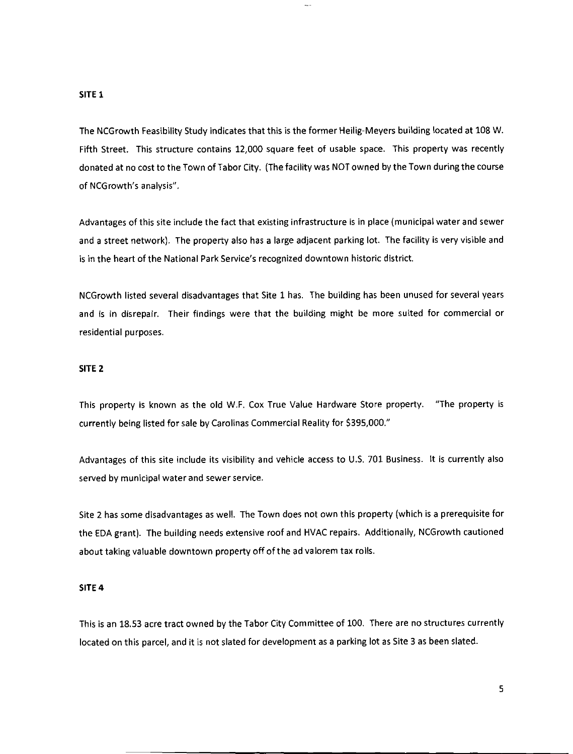#### SITE 1

The NCGrowth Feasibility Study indicates that this is the former Heilig-Meyers building located at 108 W. Fifth Street. This structure contains 12,000 square feet of usable space. This property was recently donated at no cost to the Town of Tabor City. (The facility was NOT owned by the Town during the course of NCGrowth's analysis".

Advantages of this site include the fact that existing infrastructure is in place (municipal water and sewer and a street network). The property also has a large adjacent parking lot. The facility is very visible and is in the heart of the National Park Service's recognized downtown historic district.

NCGrowth listed several disadvantages that Site 1 has. The building has been unused for several years and is in disrepair. Their findings were that the building might be more suited for commercial or residential purposes.

### SITE 2

This property is known as the old W.F. Cox True Value Hardware Store property. "The property is currently being listed for sale by Carolinas Commercial Reality for \$395,000."

Advantages of this site include its visibility and vehicle access to U.S. 701 Business. It is currently also served by municipal water and sewer service.

Site 2 has some disadvantages as well. The Town does not own this property (which is a prerequisite for the EDA grant). The building needs extensive roof and HVAC repairs. Additionally, NCGrowth cautioned about taking valuable downtown property off of the ad valorem tax rolls.

#### SITE 4

This is an 18.53 acre tract owned by the Tabor City Committee of 100. There are no structures currently located on this parcel, and it is not slated for development as a parking lot as Site 3 as been slated.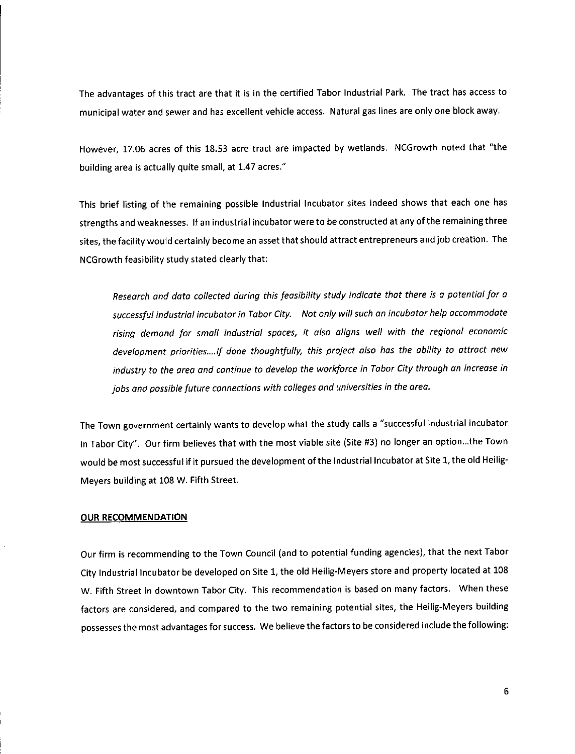The advantages of this tract are that it is in the certified Tabor Industrial Park. The tract has access to municipal water and sewer and has excellent vehicle access. Natural gas lines are only one block away.

However, 17.06 acres of this 18.53 acre tract are impacted by wetlands. NCGrowth noted that "the building area is actually quite small, at 1.47 acres."

This brief listing of the remaining possible Industrial Incubator sites indeed shows that each one has strengths and weaknesses. If an industrial incubator were to be constructed at any ofthe remaining three sites, the facility would certainly become an asset that should attract entrepreneurs andjob creation. The NCGrowth feasibility study stated clearly that:

Research and data collected during this feasibility study indicate that there is a potential for a successful industrial incubator in Tabor City. Not only will such an incubator help accommodate rising demand for small industrial spaces, it also aligns well with the regional economic development priorities....lf done thoughtfully, this project also has the ability to attract new industry to the area and continue to develop the workforce in Tabor City through an increase in jobs and possible future connections with colleges and universities in the area.

The Town government certainly wants to develop what the study calls a "successful industrial incubator in Tabor City". Our firm believes that with the most viable site (Site #3) no longer an option...the Town would be most successful if it pursued the development of the Industrial Incubator at Site 1, the old Heilig-Meyers building at 108 W. Fifth Street.

#### OUR RECOMMENDATION

Our firm is recommending to the Town Council (and to potential funding agencies), that the next Tabor City Industrial Incubator be developed on Site 1, the old Heilig-Meyers store and property located at 108 W. Fifth Street in downtown Tabor City. This recommendation is based on many factors. When these factors are considered, and compared to the two remaining potential sites, the Heilig-Meyers building possesses the most advantages for success. We believe the factors to be considered include the following: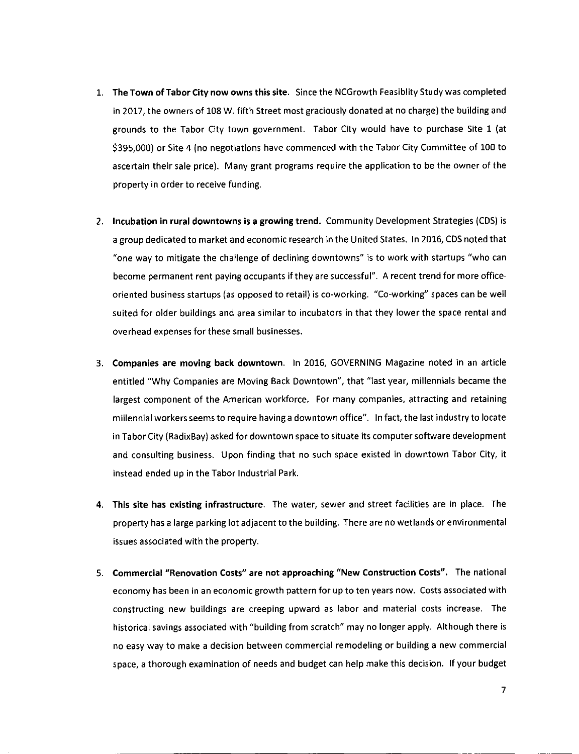- 1. The Town of Tabor City now owns this site. Since the NCGrowth Feasiblity Study was completed in 2017, the owners of 108 W. fifth Street most graciously donated at no charge) the building and grounds to the Tabor City town government. Tabor City would have to purchase Site 1 (at \$395,000) or Site 4 (no negotiations have commenced with the Tabor City Committee of 100 to ascertain their sale price). Many grant programs require the application to be the owner of the property in order to receive funding.
- 2. Incubation in rural downtowns is a growing trend. Community Development Strategies (CDS) is a group dedicated to market and economic research in the United States. In 2016, CDS noted that "one way to mitigate the challenge of declining downtowns' is to work with startups "who can become permanent rent paying occupants if they are successful". A recent trend for more officeoriented business startups (as opposed to retail) is co-working. "Co-working' spaces can be well suited for older buildings and area similar to incubators in that they lower the space rental and overhead expenses for these small businesses.
- 3. Companies are moving back downtown. In 2016, GOVERNING Magazine noted in an article entitled "Why Companies are Moving Back Downtown", that "last year, millennials became the largest component of the American workforce. For many companies, attracting and retaining millennial workers seems to require havinga downtown office". In fact, the last industry to locate in Tabor City (RadixBay) asked for downtown space to situate its computersoftware development and consulting business. Upon finding that no such space existed in downtown Tabor City, it instead ended up in the Tabor Industrial Park.
- 4. This site has existing infrastructure. The water, sewer and street facilities are in place. The property has a large parking lot adjacent to the building. There are no wetlands or environmental issues associated with the property.
- 5. Commercial "Renovation Costs" are not approaching "New Construction Costs". The national economy has been in an economic growth pattern for up to ten years now. Costs associated with constructing new buildings are creeping upward as labor and material costs increase. The historical savings associated with "building from scratch" may no longer apply. Although there is no easy way to make a decision between commercial remodeling or building a new commercial space, a thorough examination of needs and budget can help make this decision. If your budget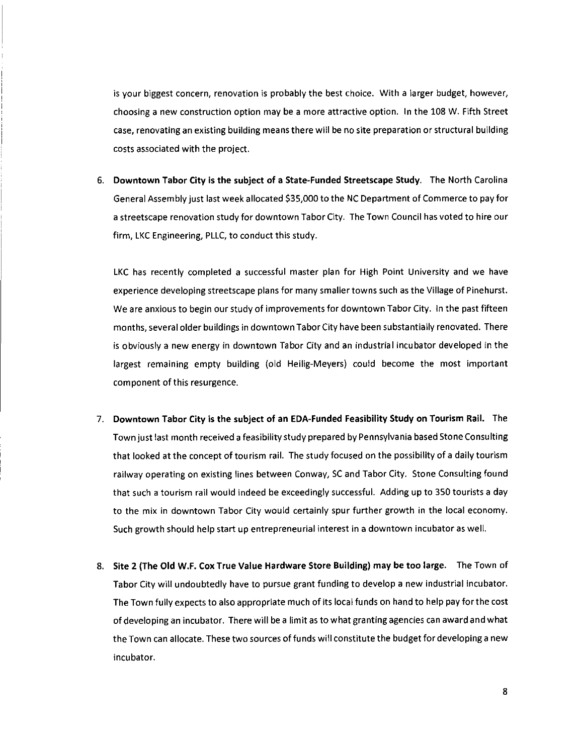is your biggest concern, renovation is probably the best choice. With a larger budget, however, choosing a new construction option may be a more attractive option. In the 108 W. Fifth Street case, renovating an existing building means there will be no site preparation or structural building costs associated with the project.

6. Downtown Tabor City is the subject of a State-Funded Streetscape Study. The North Carolina General Assembly just last week allocated \$35,000 to the NC Department of Commerce to pay for a streetscape renovation study for downtown Tabor City. The Town Council has voted to hire our firm, LKC Engineering, PLLC, to conduct this study.

LKC has recently completed a successful master plan for High Point University and we have experience developing Streetscape plans for many smaller towns such as the Village of Pinehurst. We are anxious to begin our study of improvements for downtown Tabor City. In the past fifteen months, several older buildings in downtown TaborCity have been substantially renovated. There is obviously a new energy in downtown Tabor City and an industrial incubator developed in the largest remaining empty building (old Heilig-Meyers) could become the most important component of this resurgence.

- 7. Downtown Tabor City is the subject of an EDA-Funded Feasibility Study on Tourism Rail. The Town just last month received a feasibility study prepared by Pennsylvania based Stone Consulting that looked at the concept of tourism rail. The study focused on the possibility of a daily tourism railway operating on existing lines between Conway, SC and Tabor City. Stone Consulting found that such a tourism rail would indeed be exceedingly successful. Adding up to 350 tourists a day to the mix in downtown Tabor City would certainly spur further growth in the local economy. Such growth should help start up entrepreneurial interest in a downtown incubator as well.
- 8. Site 2 (The Old W.F. Cox True Value Hardware Store Building) may be too large. The Town of Tabor City will undoubtedly have to pursue grant funding to develop a new industrial incubator. The Town fully expects to also appropriate much of its local funds on hand to help pay for the cost of developing an incubator. There will be a limit as to what granting agencies can award and what the Town can allocate. These two sources of funds will constitute the budget for developing a new incubator.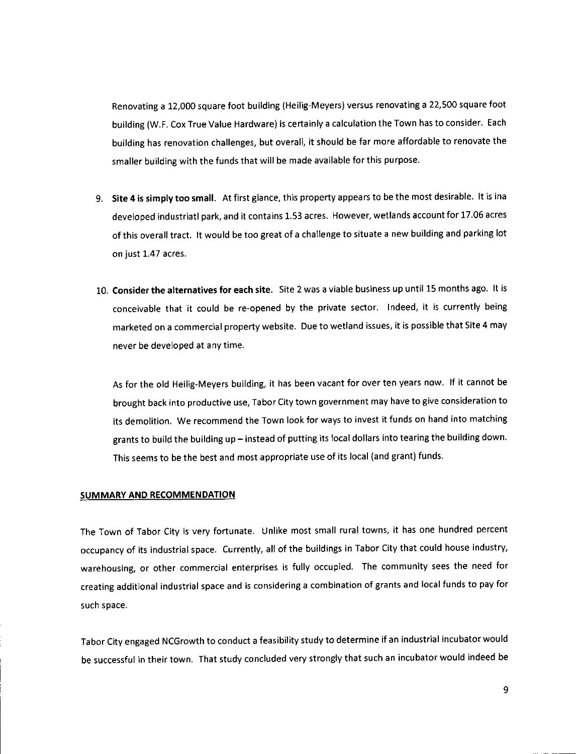Renovating a 12,000 square foot building (Heilig-Meyers) versus renovating a 22,500 square foot building (W.F. Cox True Value Hardware) is certainly a calculation the Town has to consider. Each building has renovation challenges, but overall, it should be far more affordable to renovate the smaller building with the funds that will be made available for this purpose.

- 9. Site 4 is simply too small. At first glance, this property appears to be the most desirable. It is ina developed industriatl park, and it contains 1.53 acres. However, wetlands account for 17.06 acres of this overall tract. It would be too great of a challenge to situate a new building and parking lot on just 1.47 acres.
- 10. Consider the alternatives for each site. Site 2 was a viable business up until 15 months ago. It is conceivable that it could be re-opened by the private sector. Indeed, it is currently being marketed on a commercial property website. Due to wetland issues, it is possible that Site 4 may never be developed at any time.

As for the old Heilig-Meyers building, it has been vacant for over ten years now. If it cannot be brought back into productive use, Tabor City town government may have to give consideration to its demolition. We recommend the Town look for ways to invest it funds on hand into matching grants to build the building up —instead of putting its local dollars into tearing the building down. This seems to be the best and most appropriate use of its local (and grant) funds.

#### SUMMARY AND RECOMMENDATION

The Town of Tabor City is very fortunate. Unlike most small rural towns, it has one hundred percent occupancy of its industrial space. Currently, all of the buildings in Tabor City that could house industry, warehousing, or other commercial enterprises is fully occupied. The community sees the need for creating additional industrial space and is considering a combination of grants and local funds to pay for such space.

Tabor City engaged NCGrowth to conduct a feasibility study to determine if an industrial incubator would be successful in their town. That study concluded very strongly that such an incubator would indeed be